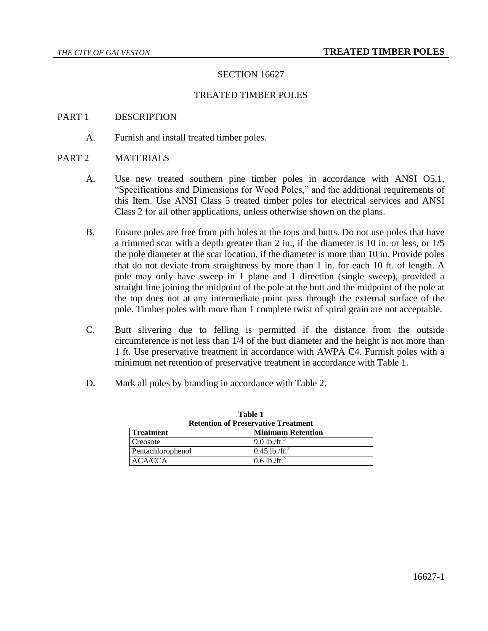## SECTION 16627

#### TREATED TIMBER POLES

#### PART 1 DESCRIPTION

A. Furnish and install treated timber poles.

#### PART 2 MATERIALS

- A. Use new treated southern pine timber poles in accordance with ANSI O5.1, "Specifications and Dimensions for Wood Poles," and the additional requirements of this Item. Use ANSI Class 5 treated timber poles for electrical services and ANSI Class 2 for all other applications, unless otherwise shown on the plans.
- B. Ensure poles are free from pith holes at the tops and butts. Do not use poles that have a trimmed scar with a depth greater than 2 in., if the diameter is 10 in. or less, or 1/5 the pole diameter at the scar location, if the diameter is more than 10 in. Provide poles that do not deviate from straightness by more than 1 in. for each 10 ft. of length. A pole may only have sweep in 1 plane and 1 direction (single sweep), provided a straight line joining the midpoint of the pole at the butt and the midpoint of the pole at the top does not at any intermediate point pass through the external surface of the pole. Timber poles with more than 1 complete twist of spiral grain are not acceptable.
- C. Butt slivering due to felling is permitted if the distance from the outside circumference is not less than 1/4 of the butt diameter and the height is not more than 1 ft. Use preservative treatment in accordance with AWPA C4. Furnish poles with a minimum net retention of preservative treatment in accordance with Table 1.
- D. Mark all poles by branding in accordance with Table 2.

| Table I<br><b>Retention of Preservative Treatment</b> |                             |  |
|-------------------------------------------------------|-----------------------------|--|
| <b>Treatment</b>                                      | <b>Minimum Retention</b>    |  |
| Creosote                                              | $9.0$ lb./ft. <sup>3</sup>  |  |
| Pentachlorophenol                                     | $0.45$ lb./ft. <sup>3</sup> |  |
| ACA/CCA                                               | $0.6$ lb./ft. <sup>3</sup>  |  |

**Table 1**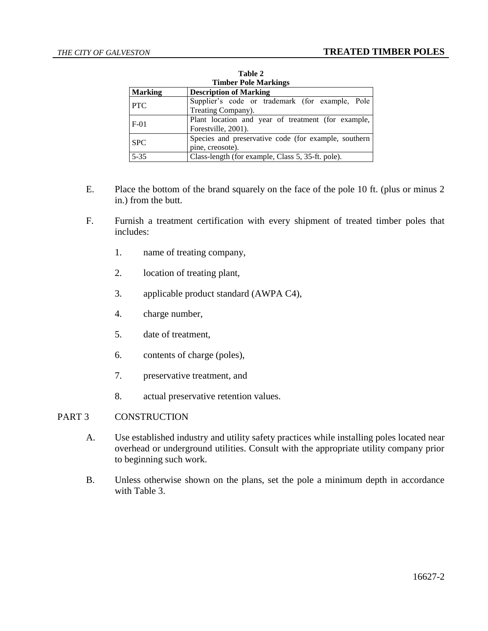| <b>Timber Pole Markings</b> |                                                      |  |
|-----------------------------|------------------------------------------------------|--|
| <b>Marking</b>              | <b>Description of Marking</b>                        |  |
| <b>PTC</b>                  | Supplier's code or trademark (for example, Pole      |  |
|                             | Treating Company).                                   |  |
| $F-01$                      | Plant location and year of treatment (for example,   |  |
|                             | Forestville, 2001).                                  |  |
| <b>SPC</b>                  | Species and preservative code (for example, southern |  |
|                             | pine, creosote).                                     |  |
| $5 - 35$                    | Class-length (for example, Class 5, 35-ft. pole).    |  |

**Table 2**

- E. Place the bottom of the brand squarely on the face of the pole 10 ft. (plus or minus 2 in.) from the butt.
- F. Furnish a treatment certification with every shipment of treated timber poles that includes:
	- 1. name of treating company,
	- 2. location of treating plant,
	- 3. applicable product standard (AWPA C4),
	- 4. charge number,
	- 5. date of treatment,
	- 6. contents of charge (poles),
	- 7. preservative treatment, and
	- 8. actual preservative retention values.

# PART 3 CONSTRUCTION

- A. Use established industry and utility safety practices while installing poles located near overhead or underground utilities. Consult with the appropriate utility company prior to beginning such work.
- B. Unless otherwise shown on the plans, set the pole a minimum depth in accordance with Table 3.